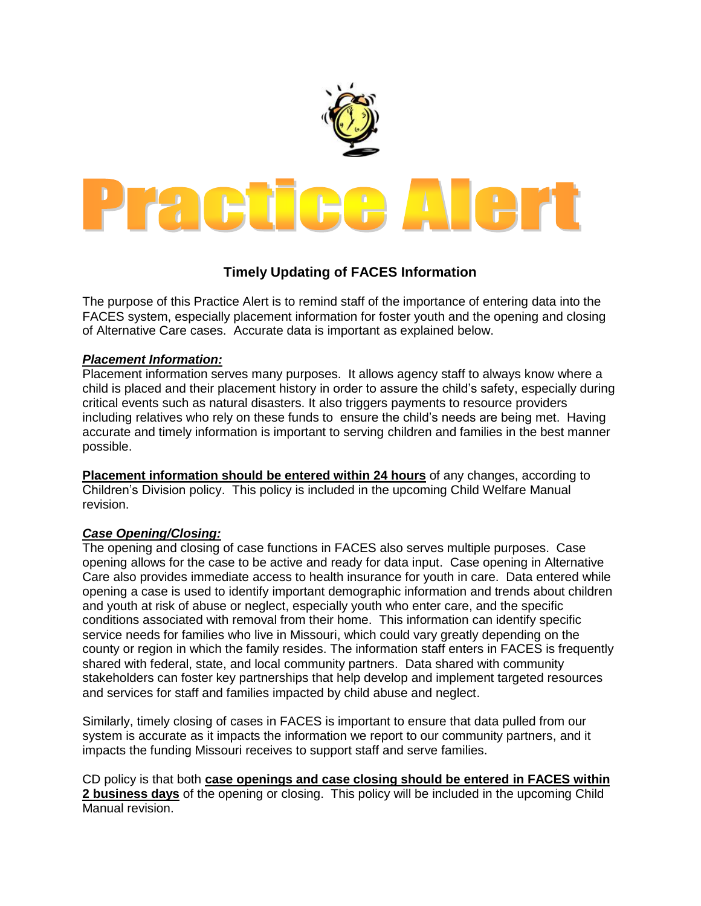

## **Timely Updating of FACES Information**

The purpose of this Practice Alert is to remind staff of the importance of entering data into the FACES system, especially placement information for foster youth and the opening and closing of Alternative Care cases. Accurate data is important as explained below.

## *Placement Information:*

Placement information serves many purposes. It allows agency staff to always know where a child is placed and their placement history in order to assure the child's safety, especially during critical events such as natural disasters. It also triggers payments to resource providers including relatives who rely on these funds to ensure the child's needs are being met. Having accurate and timely information is important to serving children and families in the best manner possible.

**Placement information should be entered within 24 hours** of any changes, according to Children's Division policy. This policy is included in the upcoming Child Welfare Manual revision.

## *Case Opening/Closing:*

The opening and closing of case functions in FACES also serves multiple purposes. Case opening allows for the case to be active and ready for data input. Case opening in Alternative Care also provides immediate access to health insurance for youth in care. Data entered while opening a case is used to identify important demographic information and trends about children and youth at risk of abuse or neglect, especially youth who enter care, and the specific conditions associated with removal from their home. This information can identify specific service needs for families who live in Missouri, which could vary greatly depending on the county or region in which the family resides. The information staff enters in FACES is frequently shared with federal, state, and local community partners. Data shared with community stakeholders can foster key partnerships that help develop and implement targeted resources and services for staff and families impacted by child abuse and neglect.

Similarly, timely closing of cases in FACES is important to ensure that data pulled from our system is accurate as it impacts the information we report to our community partners, and it impacts the funding Missouri receives to support staff and serve families.

CD policy is that both **case openings and case closing should be entered in FACES within 2 business days** of the opening or closing. This policy will be included in the upcoming Child Manual revision.